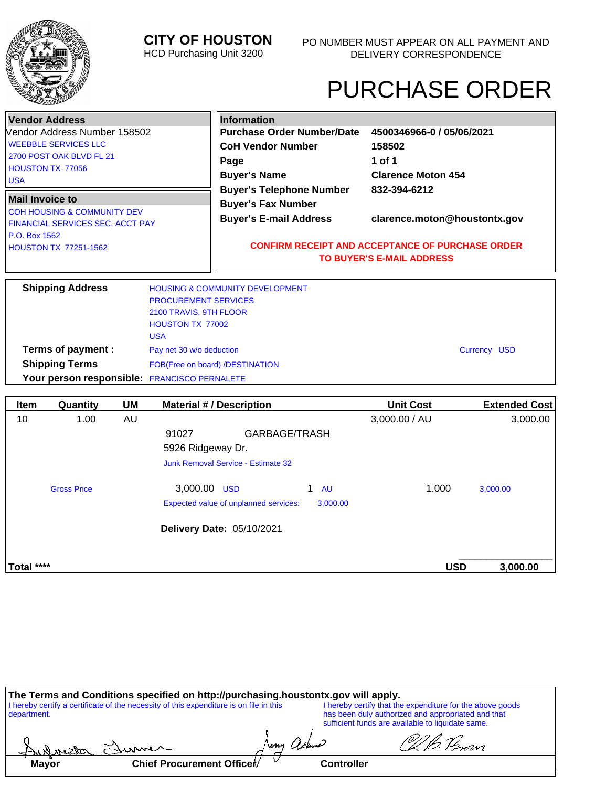

# **CITY OF HOUSTON**

HCD Purchasing Unit 3200

# PURCHASE ORDER

\_\_\_\_\_\_\_\_\_\_\_\_\_\_\_\_\_

|                                               | <b>Vendor Address</b>                                                      |    |                                                       |                                                                                             | <b>Information</b>                    |                              |                           |                      |
|-----------------------------------------------|----------------------------------------------------------------------------|----|-------------------------------------------------------|---------------------------------------------------------------------------------------------|---------------------------------------|------------------------------|---------------------------|----------------------|
|                                               | Vendor Address Number 158502                                               |    |                                                       |                                                                                             | <b>Purchase Order Number/Date</b>     |                              | 4500346966-0 / 05/06/2021 |                      |
|                                               | <b>WEEBBLE SERVICES LLC</b>                                                |    |                                                       |                                                                                             | <b>CoH Vendor Number</b>              |                              | 158502                    |                      |
|                                               | 2700 POST OAK BLVD FL 21                                                   |    |                                                       | Page                                                                                        |                                       |                              | 1 of 1                    |                      |
| <b>USA</b>                                    | <b>HOUSTON TX 77056</b>                                                    |    |                                                       |                                                                                             | <b>Buyer's Name</b>                   |                              | <b>Clarence Moton 454</b> |                      |
|                                               |                                                                            |    |                                                       |                                                                                             | <b>Buyer's Telephone Number</b>       |                              | 832-394-6212              |                      |
| <b>Mail Invoice to</b>                        |                                                                            |    |                                                       |                                                                                             | <b>Buyer's Fax Number</b>             |                              |                           |                      |
|                                               | <b>COH HOUSING &amp; COMMUNITY DEV</b><br>FINANCIAL SERVICES SEC, ACCT PAY |    |                                                       | <b>Buyer's E-mail Address</b>                                                               |                                       | clarence.moton@houstontx.gov |                           |                      |
| P.O. Box 1562<br><b>HOUSTON TX 77251-1562</b> |                                                                            |    |                                                       | <b>CONFIRM RECEIPT AND ACCEPTANCE OF PURCHASE ORDER</b><br><b>TO BUYER'S E-MAIL ADDRESS</b> |                                       |                              |                           |                      |
|                                               | <b>Shipping Address</b>                                                    |    | <b>HOUSING &amp; COMMUNITY DEVELOPMENT</b>            |                                                                                             |                                       |                              |                           |                      |
|                                               |                                                                            |    | <b>PROCUREMENT SERVICES</b><br>2100 TRAVIS, 9TH FLOOR |                                                                                             |                                       |                              |                           |                      |
|                                               |                                                                            |    | HOUSTON TX 77002                                      |                                                                                             |                                       |                              |                           |                      |
|                                               |                                                                            |    | <b>USA</b>                                            |                                                                                             |                                       |                              |                           |                      |
|                                               | Terms of payment :                                                         |    | Pay net 30 w/o deduction                              |                                                                                             |                                       |                              |                           | <b>Currency USD</b>  |
|                                               | <b>Shipping Terms</b>                                                      |    | FOB(Free on board) /DESTINATION                       |                                                                                             |                                       |                              |                           |                      |
|                                               | Your person responsible: FRANCISCO PERNALETE                               |    |                                                       |                                                                                             |                                       |                              |                           |                      |
| <b>Item</b>                                   | Quantity                                                                   | UM | <b>Material #/ Description</b>                        |                                                                                             |                                       |                              | <b>Unit Cost</b>          | <b>Extended Cost</b> |
| 10                                            | 1.00                                                                       | AU |                                                       |                                                                                             |                                       |                              | 3,000.00 / AU             | 3,000.00             |
|                                               |                                                                            |    | 91027                                                 |                                                                                             | GARBAGE/TRASH                         |                              |                           |                      |
|                                               |                                                                            |    |                                                       |                                                                                             |                                       |                              |                           |                      |
|                                               |                                                                            |    | 5926 Ridgeway Dr.                                     |                                                                                             |                                       |                              |                           |                      |
|                                               |                                                                            |    | <b>Junk Removal Service - Estimate 32</b>             |                                                                                             |                                       |                              |                           |                      |
|                                               | <b>Gross Price</b>                                                         |    | 3.000.00 USD                                          |                                                                                             |                                       | 1.<br><b>AU</b>              | 1.000                     | 3,000.00             |
|                                               |                                                                            |    |                                                       |                                                                                             | Expected value of unplanned services: | 3.000.00                     |                           |                      |

| The Terms and Conditions specified on http://purchasing.houstontx.gov will apply.<br>I hereby certify a certificate of the necessity of this expenditure is on file in this<br>department. |                           |                   | I hereby certify that the expenditure for the above goods<br>has been duly authorized and appropriated and that<br>sufficient funds are available to liquidate same. |  |  |
|--------------------------------------------------------------------------------------------------------------------------------------------------------------------------------------------|---------------------------|-------------------|----------------------------------------------------------------------------------------------------------------------------------------------------------------------|--|--|
|                                                                                                                                                                                            | Aulmetor Elume            |                   |                                                                                                                                                                      |  |  |
| <b>Mayor</b>                                                                                                                                                                               | Chief Procurement Officer | <b>Controller</b> |                                                                                                                                                                      |  |  |

**Total \*\*\*\* USD 3,000.00** 

**Delivery Date:** 05/10/2021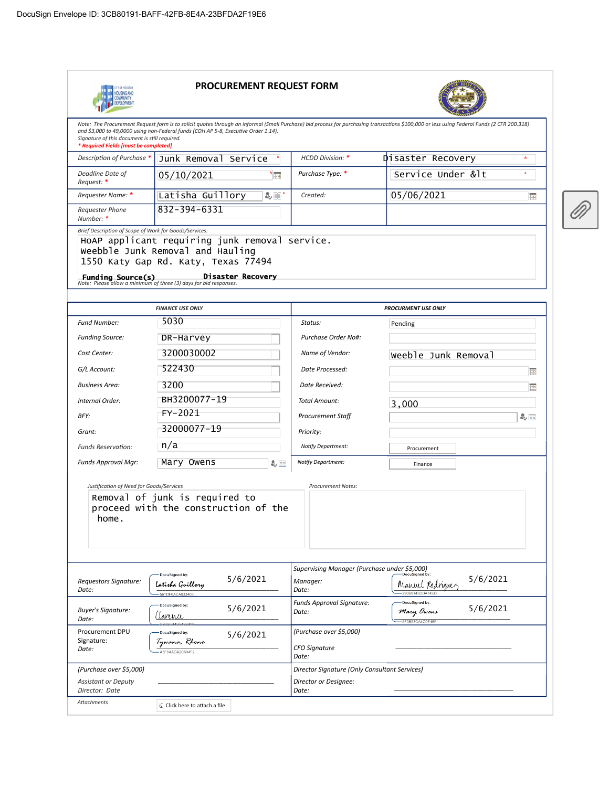

#### PROCUREMENT REQUEST FORM



Note: The Procurement Request form is to solicit quotes through an informal (Small Purchase) bid process for purchasing transactions \$100,000 or less using Federal Funds (2 CFR 200.318) and \$3,000 to 49,0000 using non-Federal funds (COH AP 5-8, Executive Order 1.14). Signature of this document is still required.<br>**\* Required Fields [must be completed]** Disaster Recovery  $\star$ Description of Purchase  $*$  Junk Removal Service  $*$  HCDD Division:  $*$ 

| Deadline Date of<br>Reauest: *                         | * 18<br>05/10/2021                                                                 | Purchase Type: * | Service Under < |  |
|--------------------------------------------------------|------------------------------------------------------------------------------------|------------------|-----------------|--|
| Requester Name: *                                      | Latisha Guillory<br>&回*                                                            | Created:         | 05/06/2021      |  |
| <b>Requester Phone</b><br>Number: *                    | 832-394-6331                                                                       |                  |                 |  |
| Brief Description of Scope of Work for Goods/Services: | HoAP applicant requiring junk removal service.<br>woobble lunk Bomoval and Hauling |                  |                 |  |

Weebble Junk Removal and Hauling

1550 Katy Gap Rd. Katy, Texas 77494

**Funding Source(s)**<br>Note: Please allow a minimum of three (3) days for bid responses.

|                                              | <b>FINANCE USE ONLY</b>                                                            | <b>PROCURMENT USE ONLY</b>                                        |                                                              |  |  |
|----------------------------------------------|------------------------------------------------------------------------------------|-------------------------------------------------------------------|--------------------------------------------------------------|--|--|
| <b>Fund Number:</b>                          | 5030                                                                               | Status:                                                           | Pending                                                      |  |  |
| <b>Funding Source:</b>                       | DR-Harvey                                                                          | Purchase Order No#:                                               |                                                              |  |  |
| Cost Center:                                 | 3200030002                                                                         | Name of Vendor:                                                   | Weeble Junk Removal                                          |  |  |
| G/L Account:                                 | 522430                                                                             | Date Processed:                                                   | ĦØ                                                           |  |  |
| <b>Business Area:</b>                        | 3200                                                                               | Date Received:                                                    | Hg                                                           |  |  |
| Internal Order:                              | BH3200077-19                                                                       | <b>Total Amount:</b>                                              | 3,000                                                        |  |  |
| BFY:                                         | FY-2021                                                                            | <b>Procurement Staff</b>                                          | み目                                                           |  |  |
| Grant:                                       | 32000077-19                                                                        | Priority:                                                         |                                                              |  |  |
| <b>Funds Reservation:</b>                    | n/a                                                                                | Notify Department:                                                | Procurement                                                  |  |  |
| Funds Approval Mgr:                          | Mary Owens<br>み目                                                                   | Notify Department:                                                | Finance                                                      |  |  |
| home.                                        |                                                                                    |                                                                   |                                                              |  |  |
| Requestors Signature:<br>Date:               | DocuSigned by:<br>5/6/2021<br>la <i>tish</i> a Guillor <i>y</i><br>561DF6ACA83340E | Supervising Manager (Purchase under \$5,000)<br>Manager:<br>Date: | 5/6/2021<br>Manuel Rodriguez<br>290B9145DDA74EC              |  |  |
| <b>Buyer's Signature:</b><br>Date:           | DocuSigned by:<br>5/6/2021<br>tanina                                               | Funds Approval Signature:<br>Date:                                | DocuSigned by:<br>5/6/2021<br>Mary Owens<br>-5F0B53CA4C0E46F |  |  |
| Procurement DPU<br>Signature:<br>Date:       | DocuSigned by:<br>5/6/2021<br>Tywana, Rhone<br>A3F6AADA2C604F9                     | (Purchase over \$5,000)<br><b>CFO Signature</b><br>Date:          |                                                              |  |  |
| (Purchase over \$5,000)                      |                                                                                    | Director Signature (Only Consultant Services)                     |                                                              |  |  |
| <b>Assistant or Deputy</b><br>Director: Date |                                                                                    | Director or Designee:<br>Date:                                    |                                                              |  |  |
| <b>Attachments</b>                           | Click here to attach a file                                                        |                                                                   |                                                              |  |  |